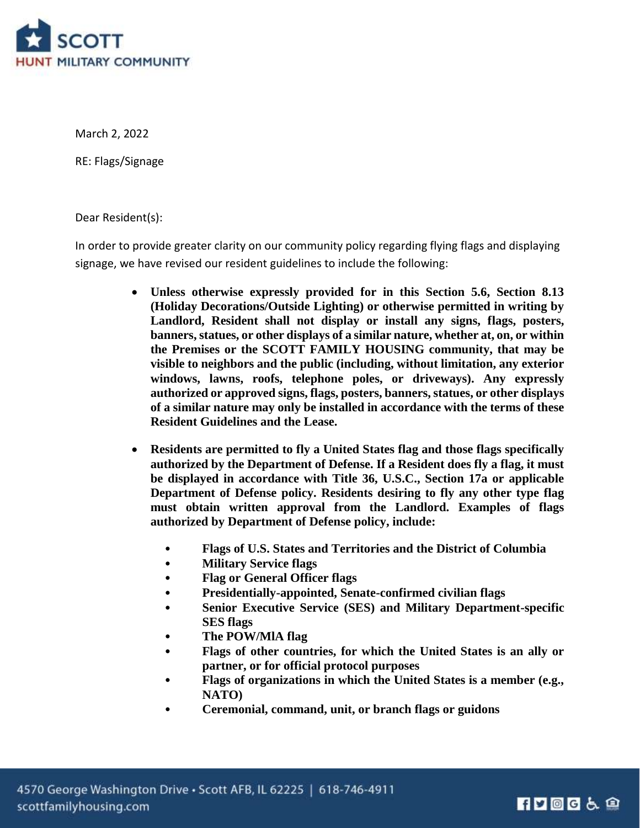

March 2, 2022

RE: Flags/Signage

Dear Resident(s):

In order to provide greater clarity on our community policy regarding flying flags and displaying signage, we have revised our resident guidelines to include the following:

- **Unless otherwise expressly provided for in this Section 5.6, Section 8.13 (Holiday Decorations/Outside Lighting) or otherwise permitted in writing by Landlord, Resident shall not display or install any signs, flags, posters, banners, statues, or other displays of a similar nature, whether at, on, or within the Premises or the SCOTT FAMILY HOUSING community, that may be visible to neighbors and the public (including, without limitation, any exterior windows, lawns, roofs, telephone poles, or driveways). Any expressly authorized or approved signs, flags, posters, banners, statues, or other displays of a similar nature may only be installed in accordance with the terms of these Resident Guidelines and the Lease.**
- **Residents are permitted to fly a United States flag and those flags specifically authorized by the Department of Defense. If a Resident does fly a flag, it must be displayed in accordance with Title 36, U.S.C., Section 17a or applicable Department of Defense policy. Residents desiring to fly any other type flag must obtain written approval from the Landlord. Examples of flags authorized by Department of Defense policy, include:**
	- **Flags of U.S. States and Territories and the District of Columbia**
	- **Military Service flags**
	- **Flag or General Officer flags**
	- **Presidentially-appointed, Senate-confirmed civilian flags**
	- **Senior Executive Service (SES) and Military Department-specific SES flags**
	- **The POW/MlA flag**
	- **Flags of other countries, for which the United States is an ally or partner, or for official protocol purposes**
	- **Flags of organizations in which the United States is a member (e.g., NATO)**
	- **Ceremonial, command, unit, or branch flags or guidons**

## $\P$  2006  $\&$   $\circ$